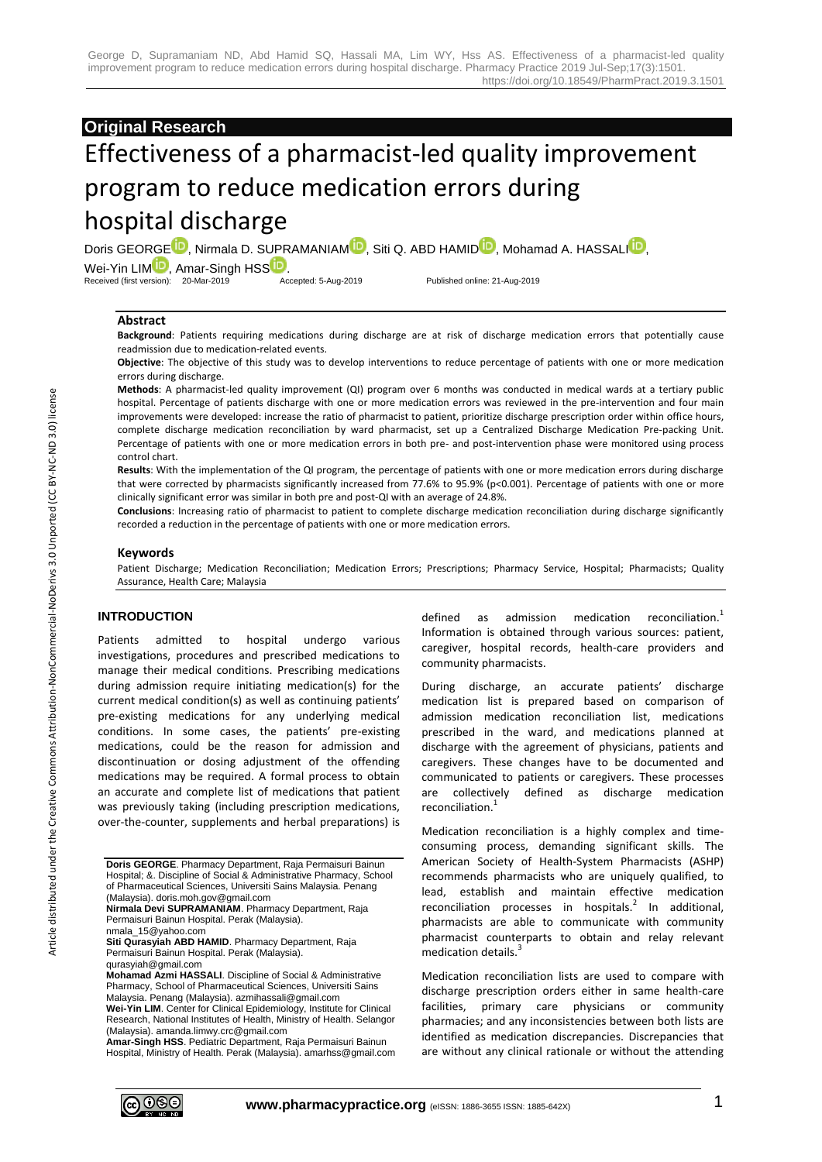### **Original Research**

# Effectiveness of a pharmacist-led quality improvement program to reduce medication errors during

## hospital discharge

Doris G[E](http://orcid.org/0000-0001-8476-999X)ORGE<sup>D</sup>, Nirmala D. SUPRA[M](http://orcid.org/0000-0002-1506-7166)ANIAM<sup>[D](http://orcid.org/0000-0002-6956-116X)</sup>, Siti Q. ABD HAMID<sup>D</sup>, Mohamad A. HASSA[LI](http://orcid.org/0000-0001-9575-403X)<sup>D</sup>,

Wei-Yin  $LIM^{1D}$  $LIM^{1D}$  $LIM^{1D}$ , Amar-[S](http://orcid.org/0000-0001-7426-1551)ingh HSS<sup>10</sup>.<br>Received (first version): 20-Mar-2019. Accepted: 5-Aug-2019 Received (first version): 20-Mar-2019 Accepted: 5-Aug-2019 Published online: 21-Aug-2019

#### **Abstract**

**Background**: Patients requiring medications during discharge are at risk of discharge medication errors that potentially cause readmission due to medication-related events.

**Objective**: The objective of this study was to develop interventions to reduce percentage of patients with one or more medication errors during discharge.

**Methods**: A pharmacist-led quality improvement (QI) program over 6 months was conducted in medical wards at a tertiary public hospital. Percentage of patients discharge with one or more medication errors was reviewed in the pre-intervention and four main improvements were developed: increase the ratio of pharmacist to patient, prioritize discharge prescription order within office hours, complete discharge medication reconciliation by ward pharmacist, set up a Centralized Discharge Medication Pre-packing Unit. Percentage of patients with one or more medication errors in both pre- and post-intervention phase were monitored using process control chart.

**Results**: With the implementation of the QI program, the percentage of patients with one or more medication errors during discharge that were corrected by pharmacists significantly increased from 77.6% to 95.9% (p<0.001). Percentage of patients with one or more clinically significant error was similar in both pre and post-QI with an average of 24.8%.

**Conclusions**: Increasing ratio of pharmacist to patient to complete discharge medication reconciliation during discharge significantly recorded a reduction in the percentage of patients with one or more medication errors.

#### **Keywords**

Patient Discharge; Medication Reconciliation; Medication Errors; Prescriptions; Pharmacy Service, Hospital; Pharmacists; Quality Assurance, Health Care; Malaysia

#### **INTRODUCTION**

Patients admitted to hospital undergo various investigations, procedures and prescribed medications to manage their medical conditions. Prescribing medications during admission require initiating medication(s) for the current medical condition(s) as well as continuing patients' pre-existing medications for any underlying medical conditions. In some cases, the patients' pre-existing medications, could be the reason for admission and discontinuation or dosing adjustment of the offending medications may be required. A formal process to obtain an accurate and complete list of medications that patient was previously taking (including prescription medications, over-the-counter, supplements and herbal preparations) is

**Nirmala Devi SUPRAMANIAM**. Pharmacy Department, Raja Permaisuri Bainun Hospital. Perak (Malaysia). nmala\_15@yahoo.com

**Siti Qurasyiah ABD HAMID**. Pharmacy Department, Raja Permaisuri Bainun Hospital. Perak (Malaysia).

qurasyiah@gmail.com

defined as admission medication reconciliation.<sup>1</sup> Information is obtained through various sources: patient, caregiver, hospital records, health-care providers and community pharmacists.

During discharge, an accurate patients' discharge medication list is prepared based on comparison of admission medication reconciliation list, medications prescribed in the ward, and medications planned at discharge with the agreement of physicians, patients and caregivers. These changes have to be documented and communicated to patients or caregivers. These processes are collectively defined as discharge medication reconciliation. 1

Medication reconciliation is a highly complex and timeconsuming process, demanding significant skills. The American Society of Health-System Pharmacists (ASHP) recommends pharmacists who are uniquely qualified, to lead, establish and maintain effective medication reconciliation processes in hospitals. 2 In additional, pharmacists are able to communicate with community pharmacist counterparts to obtain and relay relevant medication details. 3

Medication reconciliation lists are used to compare with discharge prescription orders either in same health-care facilities, primary care physicians or community pharmacies; and any inconsistencies between both lists are identified as medication discrepancies. Discrepancies that are without any clinical rationale or without the attending



**Doris GEORGE**. Pharmacy Department, Raja Permaisuri Bainun Hospital; &. Discipline of Social & Administrative Pharmacy, School of Pharmaceutical Sciences, Universiti Sains Malaysia. Penang (Malaysia). doris.moh.gov@gmail.com

**Mohamad Azmi HASSALI**. Discipline of Social & Administrative Pharmacy, School of Pharmaceutical Sciences, Universiti Sains Malaysia. Penang (Malaysia). azmihassali@gmail.com **Wei-Yin LIM**. Center for Clinical Epidemiology, Institute for Clinical Research, National Institutes of Health, Ministry of Health. Selangor (Malaysia). amanda.limwy.crc@gmail.com

**Amar-Singh HSS**. Pediatric Department, Raja Permaisuri Bainun Hospital, Ministry of Health. Perak (Malaysia). amarhss@gmail.com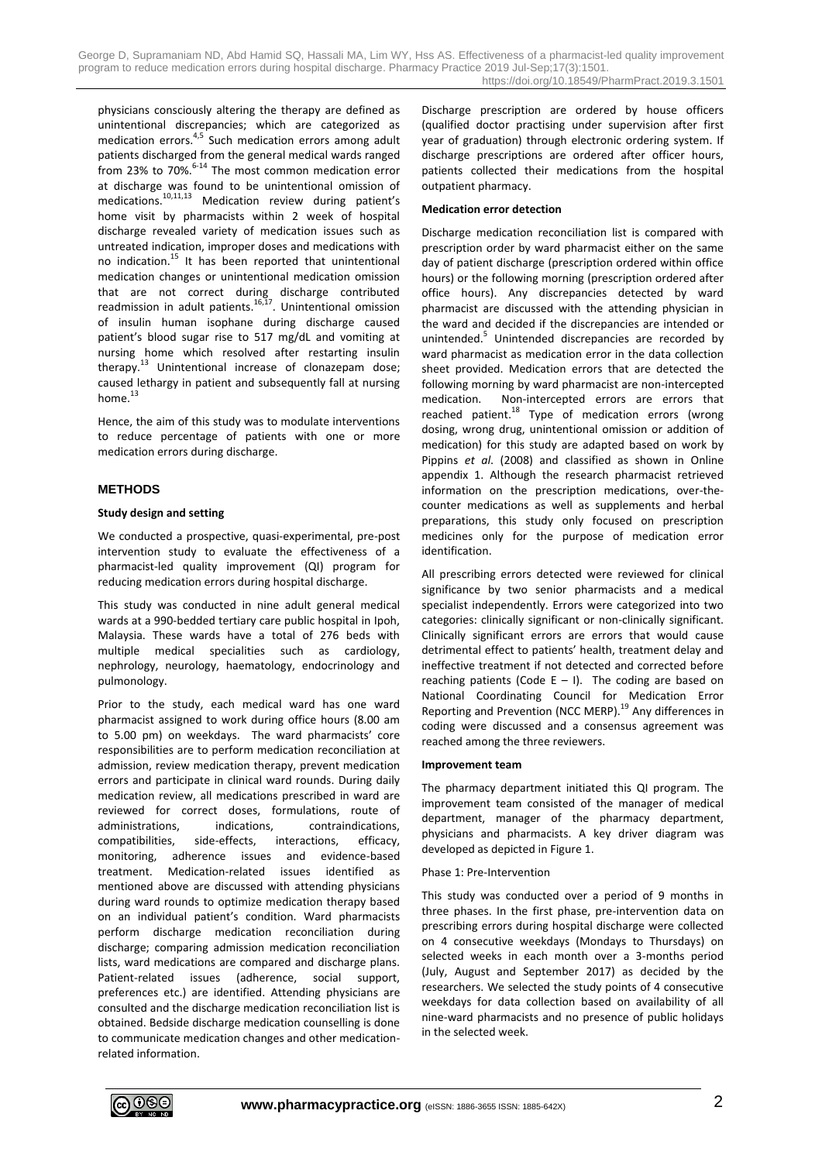physicians consciously altering the therapy are defined as unintentional discrepancies; which are categorized as medication errors.<sup>4,5</sup> Such medication errors among adult patients discharged from the general medical wards ranged from 23% to 70%.<sup>6-14</sup> The most common medication error at discharge was found to be unintentional omission of medications. 10,11,13 Medication review during patient's home visit by pharmacists within 2 week of hospital discharge revealed variety of medication issues such as untreated indication, improper doses and medications with no indication. <sup>15</sup> It has been reported that unintentional medication changes or unintentional medication omission that are not correct during discharge contributed readmission in adult patients.<sup>16,17</sup>. Unintentional omission of insulin human isophane during discharge caused patient's blood sugar rise to 517 mg/dL and vomiting at nursing home which resolved after restarting insulin therapy. <sup>13</sup> Unintentional increase of clonazepam dose; caused lethargy in patient and subsequently fall at nursing home.<sup>13</sup>

Hence, the aim of this study was to modulate interventions to reduce percentage of patients with one or more medication errors during discharge.

#### **METHODS**

#### **Study design and setting**

We conducted a prospective, quasi-experimental, pre-post intervention study to evaluate the effectiveness of a pharmacist-led quality improvement (QI) program for reducing medication errors during hospital discharge.

This study was conducted in nine adult general medical wards at a 990-bedded tertiary care public hospital in Ipoh, Malaysia. These wards have a total of 276 beds with multiple medical specialities such as cardiology, nephrology, neurology, haematology, endocrinology and pulmonology.

Prior to the study, each medical ward has one ward pharmacist assigned to work during office hours (8.00 am to 5.00 pm) on weekdays. The ward pharmacists' core responsibilities are to perform medication reconciliation at admission, review medication therapy, prevent medication errors and participate in clinical ward rounds. During daily medication review, all medications prescribed in ward are reviewed for correct doses, formulations, route of administrations, indications, contraindications, compatibilities, side-effects, interactions, efficacy, monitoring, adherence issues and evidence-based treatment. Medication-related issues identified as mentioned above are discussed with attending physicians during ward rounds to optimize medication therapy based on an individual patient's condition. Ward pharmacists perform discharge medication reconciliation during discharge; comparing admission medication reconciliation lists, ward medications are compared and discharge plans. Patient-related issues (adherence, social support, preferences etc.) are identified. Attending physicians are consulted and the discharge medication reconciliation list is obtained. Bedside discharge medication counselling is done to communicate medication changes and other medicationrelated information.

Discharge prescription are ordered by house officers (qualified doctor practising under supervision after first year of graduation) through electronic ordering system. If discharge prescriptions are ordered after officer hours, patients collected their medications from the hospital outpatient pharmacy.

#### **Medication error detection**

Discharge medication reconciliation list is compared with prescription order by ward pharmacist either on the same day of patient discharge (prescription ordered within office hours) or the following morning (prescription ordered after office hours). Any discrepancies detected by ward pharmacist are discussed with the attending physician in the ward and decided if the discrepancies are intended or unintended.<sup>5</sup> Unintended discrepancies are recorded by ward pharmacist as medication error in the data collection sheet provided. Medication errors that are detected the following morning by ward pharmacist are non-intercepted medication. Non-intercepted errors are errors that reached patient.<sup>18</sup> Type of medication errors (wrong dosing, wrong drug, unintentional omission or addition of medication) for this study are adapted based on work by Pippins *et al*. (2008) and classified as shown in Online appendix 1. Although the research pharmacist retrieved information on the prescription medications, over-thecounter medications as well as supplements and herbal preparations, this study only focused on prescription medicines only for the purpose of medication error identification.

All prescribing errors detected were reviewed for clinical significance by two senior pharmacists and a medical specialist independently. Errors were categorized into two categories: clinically significant or non-clinically significant. Clinically significant errors are errors that would cause detrimental effect to patients' health, treatment delay and ineffective treatment if not detected and corrected before reaching patients (Code  $E - I$ ). The coding are based on National Coordinating Council for Medication Error Reporting and Prevention (NCC MERP). <sup>19</sup> Any differences in coding were discussed and a consensus agreement was reached among the three reviewers.

#### **Improvement team**

The pharmacy department initiated this QI program. The improvement team consisted of the manager of medical department, manager of the pharmacy department, physicians and pharmacists. A key driver diagram was developed as depicted in Figure 1.

#### Phase 1: Pre-Intervention

This study was conducted over a period of 9 months in three phases. In the first phase, pre-intervention data on prescribing errors during hospital discharge were collected on 4 consecutive weekdays (Mondays to Thursdays) on selected weeks in each month over a 3-months period (July, August and September 2017) as decided by the researchers. We selected the study points of 4 consecutive weekdays for data collection based on availability of all nine-ward pharmacists and no presence of public holidays in the selected week.

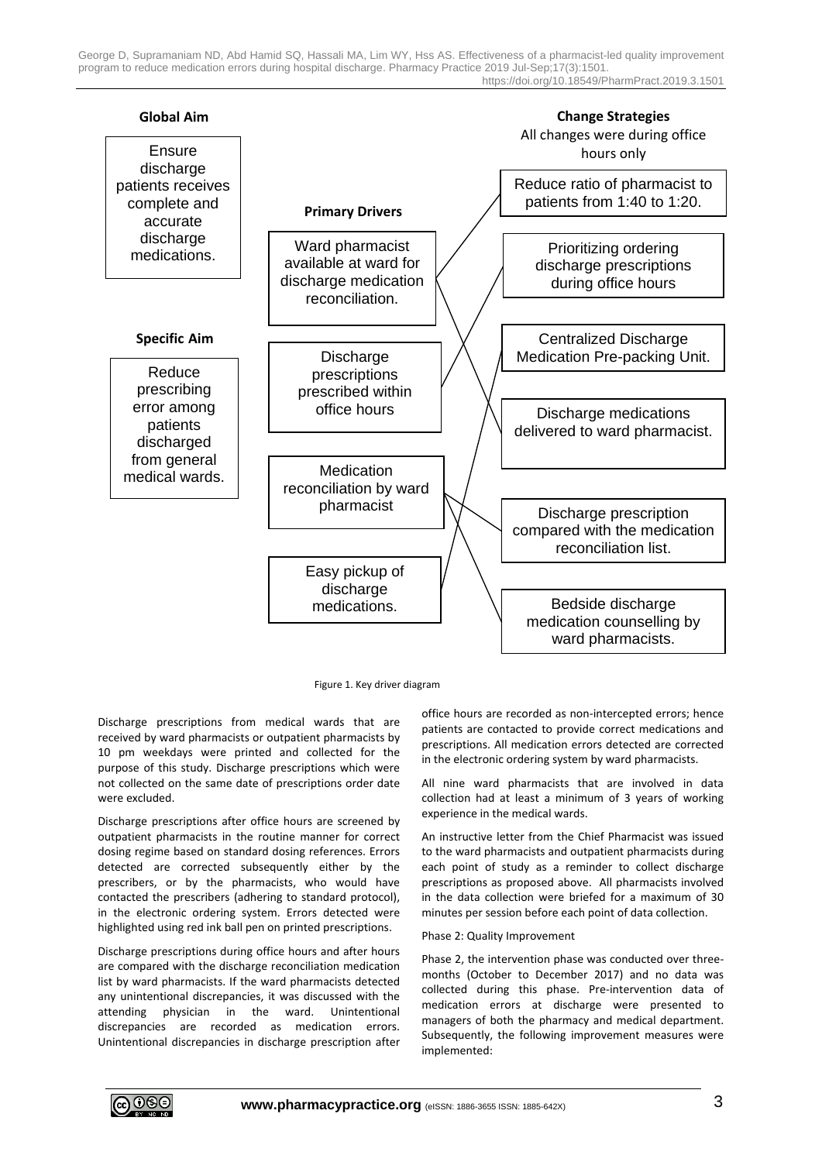

Figure 1. Key driver diagram

Discharge prescriptions from medical wards that are received by ward pharmacists or outpatient pharmacists by 10 pm weekdays were printed and collected for the purpose of this study. Discharge prescriptions which were not collected on the same date of prescriptions order date were excluded.

Discharge prescriptions after office hours are screened by outpatient pharmacists in the routine manner for correct dosing regime based on standard dosing references. Errors detected are corrected subsequently either by the prescribers, or by the pharmacists, who would have contacted the prescribers (adhering to standard protocol), in the electronic ordering system. Errors detected were highlighted using red ink ball pen on printed prescriptions.

Discharge prescriptions during office hours and after hours are compared with the discharge reconciliation medication list by ward pharmacists. If the ward pharmacists detected any unintentional discrepancies, it was discussed with the attending physician in the ward. Unintentional discrepancies are recorded as medication errors. Unintentional discrepancies in discharge prescription after

office hours are recorded as non-intercepted errors; hence patients are contacted to provide correct medications and prescriptions. All medication errors detected are corrected in the electronic ordering system by ward pharmacists.

All nine ward pharmacists that are involved in data collection had at least a minimum of 3 years of working experience in the medical wards.

An instructive letter from the Chief Pharmacist was issued to the ward pharmacists and outpatient pharmacists during each point of study as a reminder to collect discharge prescriptions as proposed above. All pharmacists involved in the data collection were briefed for a maximum of 30 minutes per session before each point of data collection.

#### Phase 2: Quality Improvement

Phase 2, the intervention phase was conducted over threemonths (October to December 2017) and no data was collected during this phase. Pre-intervention data of medication errors at discharge were presented to managers of both the pharmacy and medical department. Subsequently, the following improvement measures were implemented:

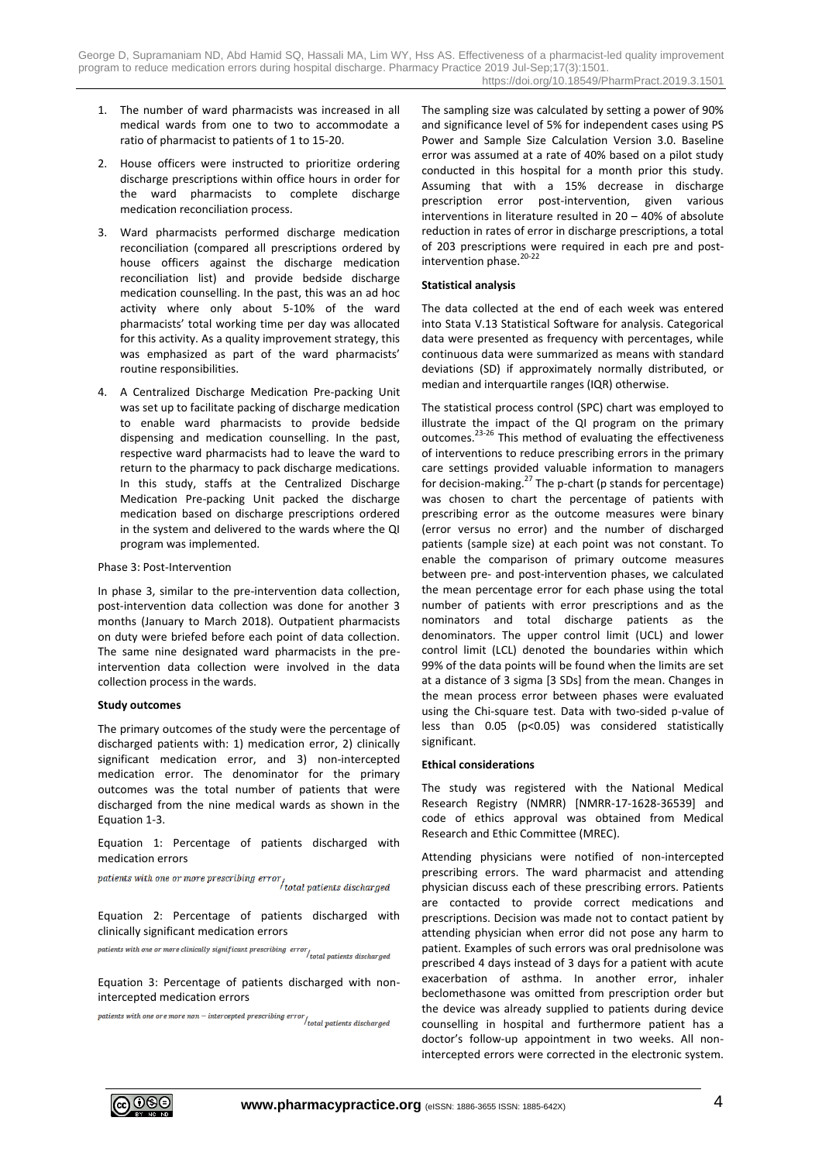- 1. The number of ward pharmacists was increased in all medical wards from one to two to accommodate a ratio of pharmacist to patients of 1 to 15-20.
- 2. House officers were instructed to prioritize ordering discharge prescriptions within office hours in order for the ward pharmacists to complete discharge medication reconciliation process.
- 3. Ward pharmacists performed discharge medication reconciliation (compared all prescriptions ordered by house officers against the discharge medication reconciliation list) and provide bedside discharge medication counselling. In the past, this was an ad hoc activity where only about 5-10% of the ward pharmacists' total working time per day was allocated for this activity. As a quality improvement strategy, this was emphasized as part of the ward pharmacists' routine responsibilities.
- 4. A Centralized Discharge Medication Pre-packing Unit was set up to facilitate packing of discharge medication to enable ward pharmacists to provide bedside dispensing and medication counselling. In the past, respective ward pharmacists had to leave the ward to return to the pharmacy to pack discharge medications. In this study, staffs at the Centralized Discharge Medication Pre-packing Unit packed the discharge medication based on discharge prescriptions ordered in the system and delivered to the wards where the QI program was implemented.

#### Phase 3: Post-Intervention

In phase 3, similar to the pre-intervention data collection, post-intervention data collection was done for another 3 months (January to March 2018). Outpatient pharmacists on duty were briefed before each point of data collection. The same nine designated ward pharmacists in the preintervention data collection were involved in the data collection process in the wards.

#### **Study outcomes**

The primary outcomes of the study were the percentage of discharged patients with: 1) medication error, 2) clinically significant medication error, and 3) non-intercepted medication error. The denominator for the primary outcomes was the total number of patients that were discharged from the nine medical wards as shown in the Equation 1-3.

Equation 1: Percentage of patients discharged with

medication errors  $\thinspace$  patients with one or more prescribing error  $\thinspace /_{total}$  patients discharged

Equation 2: Percentage of patients discharged with clinically significant medication errors<br>
patients with one or more clinically significant prescribing error/<br>
total patients discharged

Equation 3: Percentage of patients discharged with non $intercepted \textbf{medication errors}$ <br>patients with one ore more non – intercepted prescribing error $/$ total patients discharged

The sampling size was calculated by setting a power of 90% and significance level of 5% for independent cases using PS Power and Sample Size Calculation Version 3.0. Baseline error was assumed at a rate of 40% based on a pilot study conducted in this hospital for a month prior this study. Assuming that with a 15% decrease in discharge prescription error post-intervention, given various interventions in literature resulted in 20 – 40% of absolute reduction in rates of error in discharge prescriptions, a total of 203 prescriptions were required in each pre and postintervention phase. 20-22

#### **Statistical analysis**

The data collected at the end of each week was entered into Stata V.13 Statistical Software for analysis. Categorical data were presented as frequency with percentages, while continuous data were summarized as means with standard deviations (SD) if approximately normally distributed, or median and interquartile ranges (IQR) otherwise.

The statistical process control (SPC) chart was employed to illustrate the impact of the QI program on the primary outcomes. 23-26 This method of evaluating the effectiveness of interventions to reduce prescribing errors in the primary care settings provided valuable information to managers for decision-making.<sup>27</sup> The p-chart (p stands for percentage) was chosen to chart the percentage of patients with prescribing error as the outcome measures were binary (error versus no error) and the number of discharged patients (sample size) at each point was not constant. To enable the comparison of primary outcome measures between pre- and post-intervention phases, we calculated the mean percentage error for each phase using the total number of patients with error prescriptions and as the nominators and total discharge patients as the denominators. The upper control limit (UCL) and lower control limit (LCL) denoted the boundaries within which 99% of the data points will be found when the limits are set at a distance of 3 sigma [3 SDs] from the mean. Changes in the mean process error between phases were evaluated using the Chi-square test. Data with two-sided p-value of less than 0.05 (p<0.05) was considered statistically significant.

#### **Ethical considerations**

The study was registered with the National Medical Research Registry (NMRR) [NMRR-17-1628-36539] and code of ethics approval was obtained from Medical Research and Ethic Committee (MREC).

Attending physicians were notified of non-intercepted prescribing errors. The ward pharmacist and attending physician discuss each of these prescribing errors. Patients are contacted to provide correct medications and prescriptions. Decision was made not to contact patient by attending physician when error did not pose any harm to patient. Examples of such errors was oral prednisolone was prescribed 4 days instead of 3 days for a patient with acute exacerbation of asthma. In another error, inhaler beclomethasone was omitted from prescription order but the device was already supplied to patients during device counselling in hospital and furthermore patient has a doctor's follow-up appointment in two weeks. All nonintercepted errors were corrected in the electronic system.

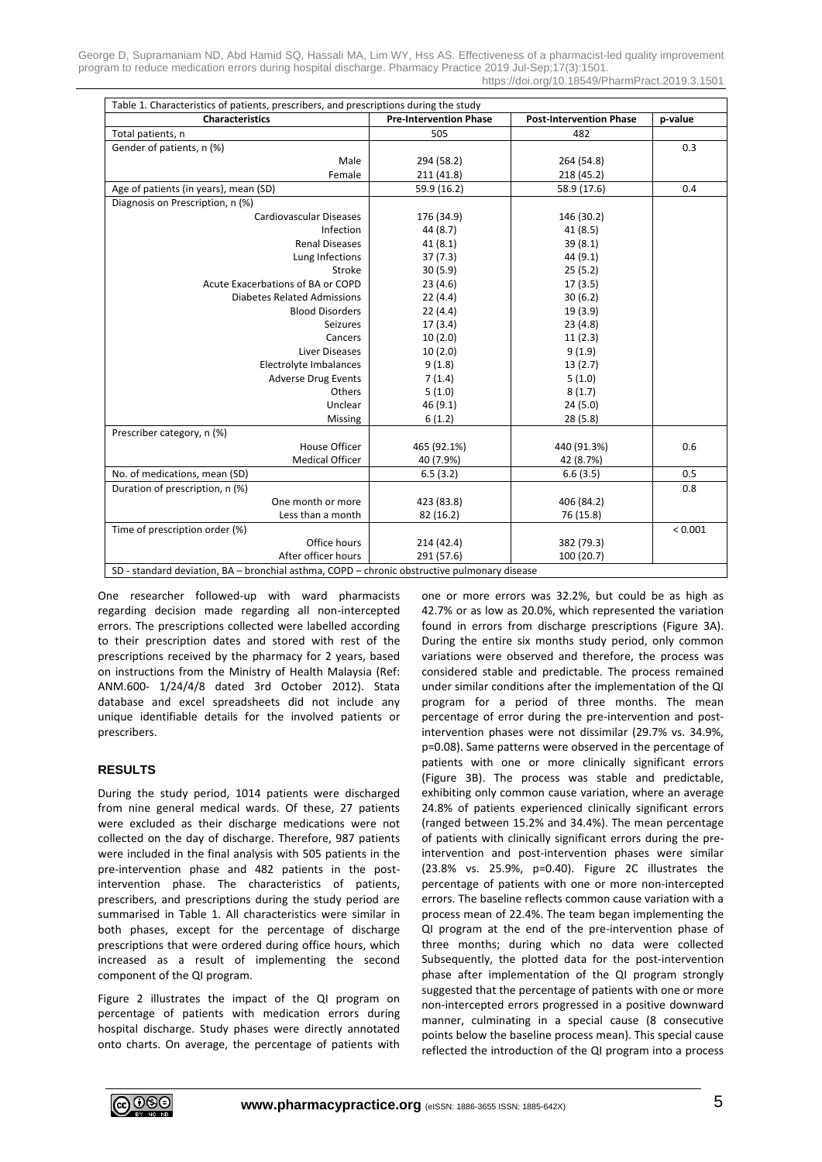| <b>Characteristics</b>                | <b>Pre-Intervention Phase</b> | <b>Post-Intervention Phase</b> | p-value |
|---------------------------------------|-------------------------------|--------------------------------|---------|
| Total patients, n                     | 505                           | 482                            |         |
| Gender of patients, n (%)             |                               |                                | 0.3     |
| Male                                  | 294 (58.2)                    | 264 (54.8)                     |         |
| Female                                | 211 (41.8)                    | 218 (45.2)                     |         |
| Age of patients (in years), mean (SD) | 59.9 (16.2)                   | 58.9 (17.6)                    | 0.4     |
| Diagnosis on Prescription, n (%)      |                               |                                |         |
| <b>Cardiovascular Diseases</b>        | 176 (34.9)                    | 146 (30.2)                     |         |
| Infection                             | 44 (8.7)                      | 41 (8.5)                       |         |
| <b>Renal Diseases</b>                 | 41(8.1)                       | 39(8.1)                        |         |
| Lung Infections                       | 37(7.3)                       | 44 (9.1)                       |         |
| Stroke                                | 30(5.9)                       | 25(5.2)                        |         |
| Acute Exacerbations of BA or COPD     | 23(4.6)                       | 17(3.5)                        |         |
| <b>Diabetes Related Admissions</b>    | 22(4.4)                       | 30(6.2)                        |         |
| <b>Blood Disorders</b>                | 22(4.4)                       | 19 (3.9)                       |         |
| Seizures                              | 17(3.4)                       | 23(4.8)                        |         |
| Cancers                               | 10(2.0)                       | 11(2.3)                        |         |
| Liver Diseases                        | 10(2.0)                       | 9(1.9)                         |         |
| Electrolyte Imbalances                | 9(1.8)                        | 13(2.7)                        |         |
| <b>Adverse Drug Events</b>            | 7(1.4)                        | 5(1.0)                         |         |
| Others                                | 5(1.0)                        | 8(1.7)                         |         |
| Unclear                               | 46 (9.1)                      | 24(5.0)                        |         |
| Missing                               | 6(1.2)                        | 28 (5.8)                       |         |
| Prescriber category, n (%)            |                               |                                |         |
| House Officer                         | 465 (92.1%)                   | 440 (91.3%)                    | 0.6     |
| <b>Medical Officer</b>                | 40 (7.9%)                     | 42 (8.7%)                      |         |
| No. of medications, mean (SD)         | 6.5(3.2)                      | 6.6(3.5)                       | 0.5     |
| Duration of prescription, n (%)       |                               |                                | 0.8     |
| One month or more                     | 423 (83.8)                    | 406 (84.2)                     |         |
| Less than a month                     | 82 (16.2)                     | 76 (15.8)                      |         |
| Time of prescription order (%)        |                               |                                | < 0.001 |
| Office hours                          | 214 (42.4)                    | 382 (79.3)                     |         |
| After officer hours                   | 291 (57.6)                    | 100 (20.7)                     |         |

One researcher followed-up with ward pharmacists regarding decision made regarding all non-intercepted errors. The prescriptions collected were labelled according to their prescription dates and stored with rest of the prescriptions received by the pharmacy for 2 years, based on instructions from the Ministry of Health Malaysia (Ref: ANM.600- 1/24/4/8 dated 3rd October 2012). Stata database and excel spreadsheets did not include any unique identifiable details for the involved patients or prescribers.

#### **RESULTS**

During the study period, 1014 patients were discharged from nine general medical wards. Of these, 27 patients were excluded as their discharge medications were not collected on the day of discharge. Therefore, 987 patients were included in the final analysis with 505 patients in the pre-intervention phase and 482 patients in the postintervention phase. The characteristics of patients, prescribers, and prescriptions during the study period are summarised in Table 1. All characteristics were similar in both phases, except for the percentage of discharge prescriptions that were ordered during office hours, which increased as a result of implementing the second component of the QI program.

Figure 2 illustrates the impact of the QI program on percentage of patients with medication errors during hospital discharge. Study phases were directly annotated onto charts. On average, the percentage of patients with one or more errors was 32.2%, but could be as high as 42.7% or as low as 20.0%, which represented the variation found in errors from discharge prescriptions (Figure 3A). During the entire six months study period, only common variations were observed and therefore, the process was considered stable and predictable. The process remained under similar conditions after the implementation of the QI program for a period of three months. The mean percentage of error during the pre-intervention and postintervention phases were not dissimilar (29.7% vs. 34.9%, p=0.08). Same patterns were observed in the percentage of patients with one or more clinically significant errors (Figure 3B). The process was stable and predictable, exhibiting only common cause variation, where an average 24.8% of patients experienced clinically significant errors (ranged between 15.2% and 34.4%). The mean percentage of patients with clinically significant errors during the preintervention and post-intervention phases were similar (23.8% vs. 25.9%, p=0.40). Figure 2C illustrates the percentage of patients with one or more non-intercepted errors. The baseline reflects common cause variation with a process mean of 22.4%. The team began implementing the QI program at the end of the pre-intervention phase of three months; during which no data were collected Subsequently, the plotted data for the post-intervention phase after implementation of the QI program strongly suggested that the percentage of patients with one or more non-intercepted errors progressed in a positive downward manner, culminating in a special cause (8 consecutive points below the baseline process mean). This special cause reflected the introduction of the QI program into a process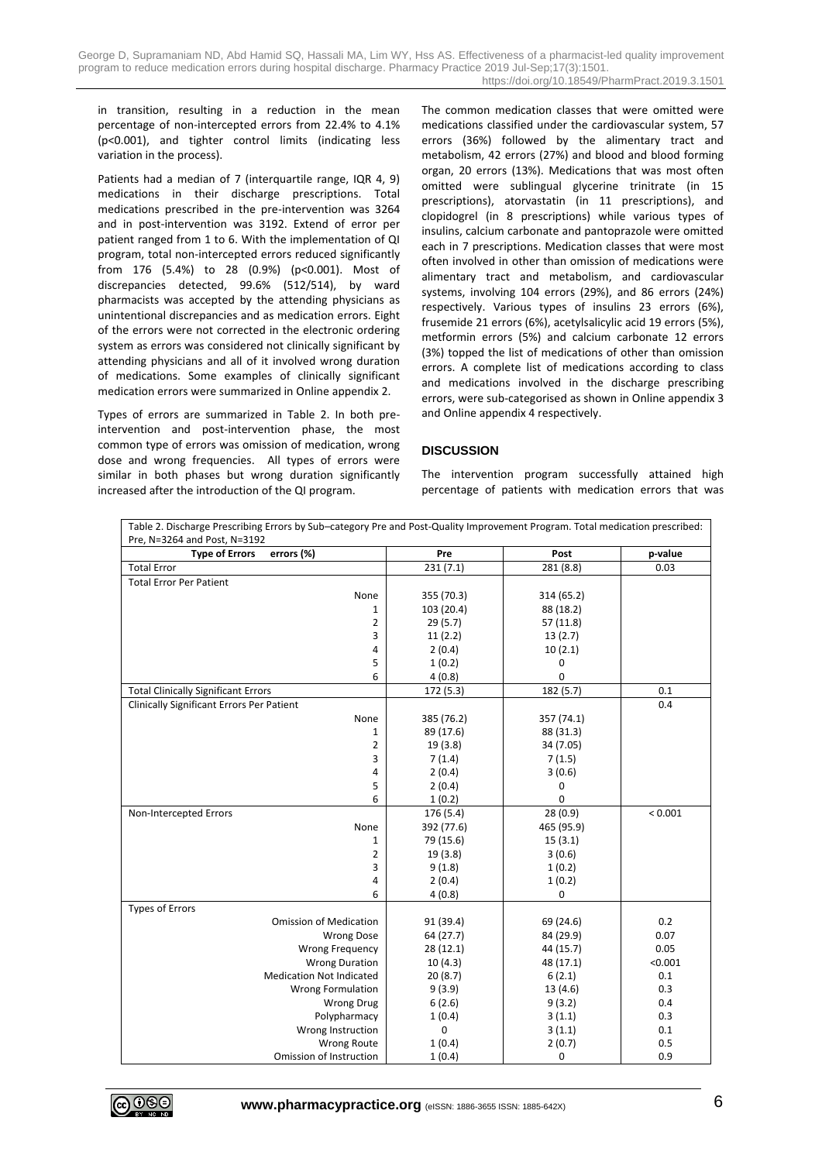in transition, resulting in a reduction in the mean percentage of non-intercepted errors from 22.4% to 4.1% (p<0.001), and tighter control limits (indicating less variation in the process).

Patients had a median of 7 (interquartile range, IQR 4, 9) medications in their discharge prescriptions. Total medications prescribed in the pre-intervention was 3264 and in post-intervention was 3192. Extend of error per patient ranged from 1 to 6. With the implementation of QI program, total non-intercepted errors reduced significantly from 176 (5.4%) to 28 (0.9%) (p<0.001). Most of discrepancies detected, 99.6% (512/514), by ward pharmacists was accepted by the attending physicians as unintentional discrepancies and as medication errors. Eight of the errors were not corrected in the electronic ordering system as errors was considered not clinically significant by attending physicians and all of it involved wrong duration of medications. Some examples of clinically significant medication errors were summarized in Online appendix 2.

Types of errors are summarized in Table 2. In both preintervention and post-intervention phase, the most common type of errors was omission of medication, wrong dose and wrong frequencies. All types of errors were similar in both phases but wrong duration significantly increased after the introduction of the QI program.

The common medication classes that were omitted were medications classified under the cardiovascular system, 57 errors (36%) followed by the alimentary tract and metabolism, 42 errors (27%) and blood and blood forming organ, 20 errors (13%). Medications that was most often omitted were sublingual glycerine trinitrate (in 15 prescriptions), atorvastatin (in 11 prescriptions), and clopidogrel (in 8 prescriptions) while various types of insulins, calcium carbonate and pantoprazole were omitted each in 7 prescriptions. Medication classes that were most often involved in other than omission of medications were alimentary tract and metabolism, and cardiovascular systems, involving 104 errors (29%), and 86 errors (24%) respectively. Various types of insulins 23 errors (6%), frusemide 21 errors (6%), acetylsalicylic acid 19 errors (5%), metformin errors (5%) and calcium carbonate 12 errors (3%) topped the list of medications of other than omission errors. A complete list of medications according to class and medications involved in the discharge prescribing errors, were sub-categorised as shown in Online appendix 3 and Online appendix 4 respectively.

#### **DISCUSSION**

The intervention program successfully attained high percentage of patients with medication errors that was

| Table 2. Discharge Prescribing Errors by Sub-category Pre and Post-Quality Improvement Program. Total medication prescribed: |            |             |         |  |
|------------------------------------------------------------------------------------------------------------------------------|------------|-------------|---------|--|
| Pre, N=3264 and Post, N=3192                                                                                                 |            |             |         |  |
| errors (%)<br><b>Type of Errors</b>                                                                                          | Pre        | Post        | p-value |  |
| <b>Total Error</b>                                                                                                           | 231(7.1)   | 281 (8.8)   | 0.03    |  |
| <b>Total Error Per Patient</b>                                                                                               |            |             |         |  |
| None                                                                                                                         | 355 (70.3) | 314 (65.2)  |         |  |
| 1                                                                                                                            | 103 (20.4) | 88 (18.2)   |         |  |
| 2                                                                                                                            | 29(5.7)    | 57 (11.8)   |         |  |
| 3                                                                                                                            | 11(2.2)    | 13(2.7)     |         |  |
| 4                                                                                                                            | 2(0.4)     | 10(2.1)     |         |  |
| 5                                                                                                                            | 1(0.2)     | 0           |         |  |
| 6                                                                                                                            | 4(0.8)     | 0           |         |  |
| <b>Total Clinically Significant Errors</b>                                                                                   | 172 (5.3)  | 182 (5.7)   | 0.1     |  |
| <b>Clinically Significant Errors Per Patient</b>                                                                             |            |             | 0.4     |  |
| None                                                                                                                         | 385 (76.2) | 357 (74.1)  |         |  |
| 1                                                                                                                            | 89 (17.6)  | 88 (31.3)   |         |  |
| $\overline{2}$                                                                                                               | 19 (3.8)   | 34 (7.05)   |         |  |
| 3                                                                                                                            | 7(1.4)     | 7(1.5)      |         |  |
| 4                                                                                                                            | 2(0.4)     | 3(0.6)      |         |  |
| 5                                                                                                                            | 2(0.4)     | 0           |         |  |
| 6                                                                                                                            | 1(0.2)     | 0           |         |  |
| Non-Intercepted Errors                                                                                                       | 176 (5.4)  | 28 (0.9)    | < 0.001 |  |
| None                                                                                                                         | 392 (77.6) | 465 (95.9)  |         |  |
| 1                                                                                                                            | 79 (15.6)  | 15(3.1)     |         |  |
| $\overline{2}$                                                                                                               | 19 (3.8)   | 3(0.6)      |         |  |
| 3                                                                                                                            | 9(1.8)     | 1(0.2)      |         |  |
| 4                                                                                                                            | 2(0.4)     | 1(0.2)      |         |  |
| 6                                                                                                                            | 4(0.8)     | $\pmb{0}$   |         |  |
| <b>Types of Errors</b>                                                                                                       |            |             |         |  |
| <b>Omission of Medication</b>                                                                                                | 91 (39.4)  | 69 (24.6)   | 0.2     |  |
| <b>Wrong Dose</b>                                                                                                            | 64 (27.7)  | 84 (29.9)   | 0.07    |  |
| <b>Wrong Frequency</b>                                                                                                       | 28 (12.1)  | 44 (15.7)   | 0.05    |  |
| <b>Wrong Duration</b>                                                                                                        | 10(4.3)    | 48 (17.1)   | < 0.001 |  |
| <b>Medication Not Indicated</b>                                                                                              | 20(8.7)    | 6(2.1)      | 0.1     |  |
| <b>Wrong Formulation</b>                                                                                                     | 9(3.9)     | 13(4.6)     | 0.3     |  |
| <b>Wrong Drug</b>                                                                                                            | 6(2.6)     | 9(3.2)      | 0.4     |  |
| Polypharmacy                                                                                                                 | 1(0.4)     | 3(1.1)      | 0.3     |  |
| Wrong Instruction                                                                                                            | 0          | 3(1.1)      | 0.1     |  |
| <b>Wrong Route</b>                                                                                                           | 1(0.4)     | 2(0.7)      | 0.5     |  |
| Omission of Instruction                                                                                                      | 1(0.4)     | $\mathbf 0$ | 0.9     |  |

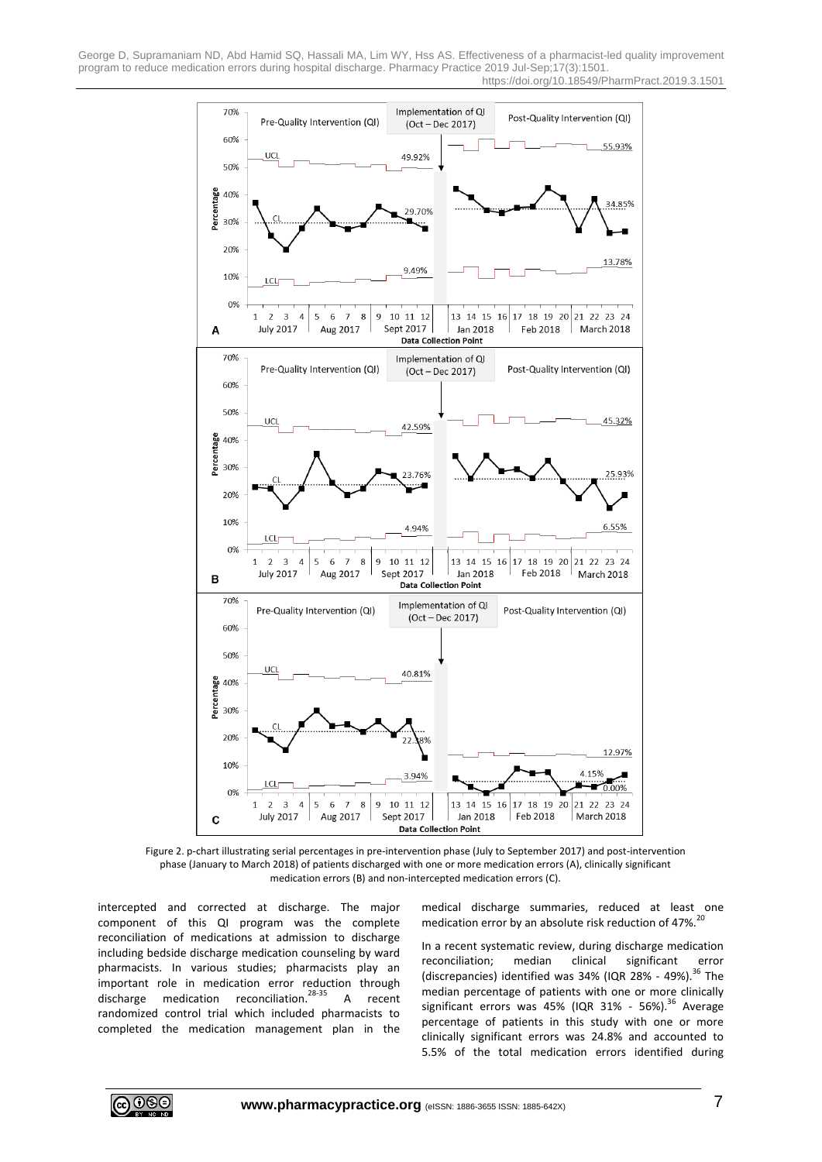

Figure 2. p-chart illustrating serial percentages in pre-intervention phase (July to September 2017) and post-intervention phase (January to March 2018) of patients discharged with one or more medication errors (A), clinically significant medication errors (B) and non-intercepted medication errors (C).

intercepted and corrected at discharge. The major component of this QI program was the complete reconciliation of medications at admission to discharge including bedside discharge medication counseling by ward pharmacists. In various studies; pharmacists play an important role in medication error reduction through discharge medication reconciliation.<sup>28-35</sup> A recent randomized control trial which included pharmacists to completed the medication management plan in the

medical discharge summaries, reduced at least one medication error by an absolute risk reduction of 47%.<sup>20</sup>

In a recent systematic review, during discharge medication reconciliation; median clinical significant error (discrepancies) identified was 34% (IQR 28% - 49%). <sup>36</sup> The median percentage of patients with one or more clinically significant errors was 45% (IQR 31% - 56%). <sup>36</sup> Average percentage of patients in this study with one or more clinically significant errors was 24.8% and accounted to 5.5% of the total medication errors identified during

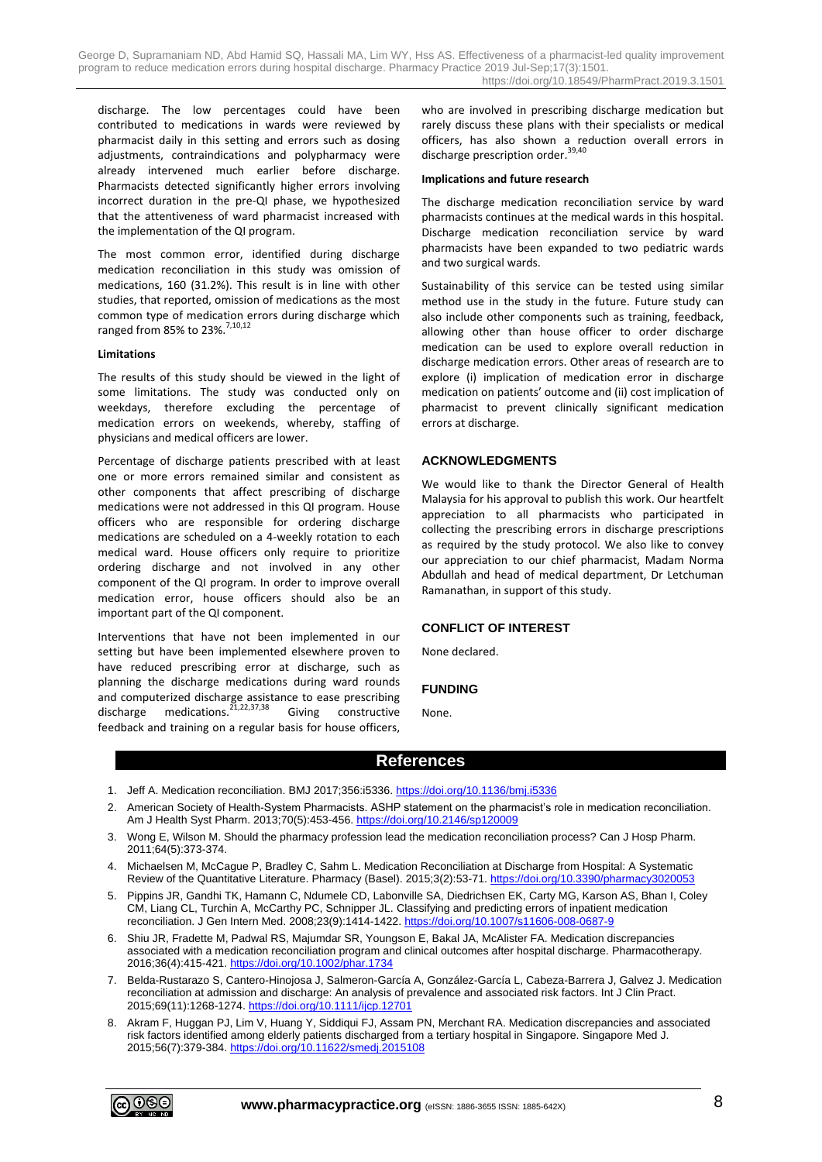discharge. The low percentages could have been contributed to medications in wards were reviewed by pharmacist daily in this setting and errors such as dosing adjustments, contraindications and polypharmacy were already intervened much earlier before discharge. Pharmacists detected significantly higher errors involving incorrect duration in the pre-QI phase, we hypothesized that the attentiveness of ward pharmacist increased with the implementation of the QI program.

The most common error, identified during discharge medication reconciliation in this study was omission of medications, 160 (31.2%). This result is in line with other studies, that reported, omission of medications as the most common type of medication errors during discharge which ranged from 85% to 23%.<sup>7,10,12</sup>

#### **Limitations**

The results of this study should be viewed in the light of some limitations. The study was conducted only on weekdays, therefore excluding the percentage of medication errors on weekends, whereby, staffing of physicians and medical officers are lower.

Percentage of discharge patients prescribed with at least one or more errors remained similar and consistent as other components that affect prescribing of discharge medications were not addressed in this QI program. House officers who are responsible for ordering discharge medications are scheduled on a 4-weekly rotation to each medical ward. House officers only require to prioritize ordering discharge and not involved in any other component of the QI program. In order to improve overall medication error, house officers should also be an important part of the QI component.

Interventions that have not been implemented in our setting but have been implemented elsewhere proven to have reduced prescribing error at discharge, such as planning the discharge medications during ward rounds and computerized discharge assistance to ease prescribing discharge medications.<sup>21,22,37,38</sup> Giving constructive feedback and training on a regular basis for house officers,

who are involved in prescribing discharge medication but rarely discuss these plans with their specialists or medical officers, has also shown a reduction overall errors in discharge prescription order. 39,40

#### **Implications and future research**

The discharge medication reconciliation service by ward pharmacists continues at the medical wards in this hospital. Discharge medication reconciliation service by ward pharmacists have been expanded to two pediatric wards and two surgical wards.

Sustainability of this service can be tested using similar method use in the study in the future. Future study can also include other components such as training, feedback, allowing other than house officer to order discharge medication can be used to explore overall reduction in discharge medication errors. Other areas of research are to explore (i) implication of medication error in discharge medication on patients' outcome and (ii) cost implication of pharmacist to prevent clinically significant medication errors at discharge.

#### **ACKNOWLEDGMENTS**

We would like to thank the Director General of Health Malaysia for his approval to publish this work. Our heartfelt appreciation to all pharmacists who participated in collecting the prescribing errors in discharge prescriptions as required by the study protocol. We also like to convey our appreciation to our chief pharmacist, Madam Norma Abdullah and head of medical department, Dr Letchuman Ramanathan, in support of this study.

#### **CONFLICT OF INTEREST**

None declared.

#### **FUNDING**

None.

#### **References**

- 1. Jeff A. Medication reconciliation. BMJ 2017;356:i5336.<https://doi.org/10.1136/bmj.i5336>
- 2. American Society of Health-System Pharmacists. ASHP statement on the pharmacist's role in medication reconciliation. Am J Health Syst Pharm. 2013;70(5):453-456. https://doi.org/10.2146/sp1.
- 3. Wong E, Wilson M. Should the pharmacy profession lead the medication reconciliation process? Can J Hosp Pharm. 2011;64(5):373-374.
- 4. Michaelsen M, McCague P, Bradley C, Sahm L. Medication Reconciliation at Discharge from Hospital: A Systematic Review of the Quantitative Literature. Pharmacy (Basel). 2015;3(2):53-71[. https://doi.org/10.3390/pharmacy3020053](https://doi.org/10.3390/pharmacy3020053)
- 5. Pippins JR, Gandhi TK, Hamann C, Ndumele CD, Labonville SA, Diedrichsen EK, Carty MG, Karson AS, Bhan I, Coley CM, Liang CL, Turchin A, McCarthy PC, Schnipper JL. Classifying and predicting errors of inpatient medication reconciliation. J Gen Intern Med. 2008;23(9):1414-1422.<https://doi.org/10.1007/s11606-008-0687-9>
- 6. Shiu JR, Fradette M, Padwal RS, Majumdar SR, Youngson E, Bakal JA, McAlister FA. Medication discrepancies associated with a medication reconciliation program and clinical outcomes after hospital discharge. Pharmacotherapy. 2016;36(4):415-421.<https://doi.org/10.1002/phar.1734>
- 7. Belda-Rustarazo S, Cantero-Hinojosa J, Salmeron-García A, González-García L, Cabeza-Barrera J, Galvez J. Medication reconciliation at admission and discharge: An analysis of prevalence and associated risk factors. Int J Clin Pract. 2015;69(11):1268-1274.<https://doi.org/10.1111/ijcp.12701>
- 8. Akram F, Huggan PJ, Lim V, Huang Y, Siddiqui FJ, Assam PN, Merchant RA. Medication discrepancies and associated risk factors identified among elderly patients discharged from a tertiary hospital in Singapore. Singapore Med J. 2015;56(7):379-384.<https://doi.org/10.11622/smedj.2015108>

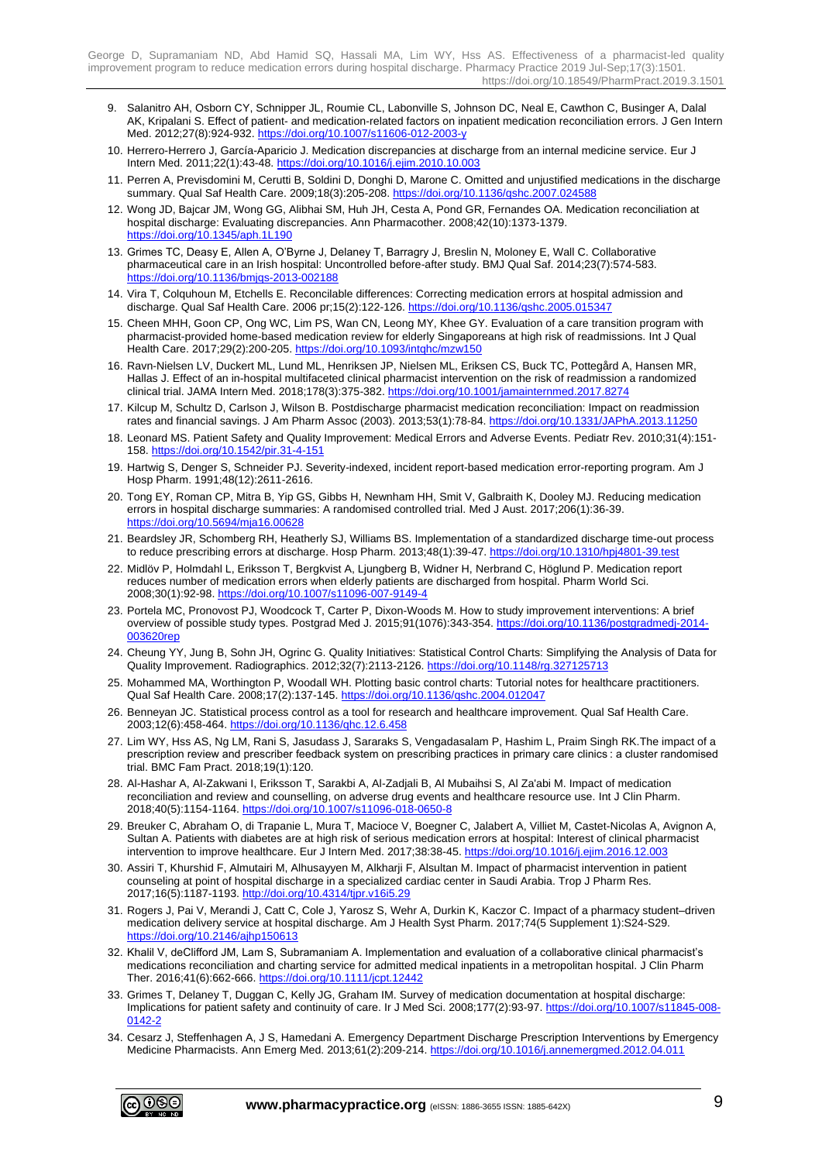- 9. Salanitro AH, Osborn CY, Schnipper JL, Roumie CL, Labonville S, Johnson DC, Neal E, Cawthon C, Businger A, Dalal AK, Kripalani S. Effect of patient- and medication-related factors on inpatient medication reconciliation errors. J Gen Intern Med. 2012;27(8):924-932.<https://doi.org/10.1007/s11606-012-2003-y>
- 10. Herrero-Herrero J, García-Aparicio J. Medication discrepancies at discharge from an internal medicine service. Eur J Intern Med. 2011;22(1):43-48[. https://doi.org/10.1016/j.ejim.2010.10.003](https://doi.org/10.1016/j.ejim.2010.10.003)
- 11. Perren A, Previsdomini M, Cerutti B, Soldini D, Donghi D, Marone C. Omitted and unjustified medications in the discharge summary. Qual Saf Health Care. 2009;18(3):205-208. https://doi.org/10.1136/qshc.
- 12. Wong JD, Bajcar JM, Wong GG, Alibhai SM, Huh JH, Cesta A, Pond GR, Fernandes OA. Medication reconciliation at hospital discharge: Evaluating discrepancies. Ann Pharmacother. 2008;42(10):1373-1379. <https://doi.org/10.1345/aph.1L190>
- 13. Grimes TC, Deasy E, Allen A, O'Byrne J, Delaney T, Barragry J, Breslin N, Moloney E, Wall C. Collaborative pharmaceutical care in an Irish hospital: Uncontrolled before-after study. BMJ Qual Saf. 2014;23(7):574-583. https://doi.org/10.1136/bmigs-2013-00218
- 14. Vira T, Colquhoun M, Etchells E. Reconcilable differences: Correcting medication errors at hospital admission and discharge. Qual Saf Health Care. 2006 pr;15(2):122-126. <https://doi.org/10.1136/qshc.2005.015347>
- 15. Cheen MHH, Goon CP, Ong WC, Lim PS, Wan CN, Leong MY, Khee GY. Evaluation of a care transition program with pharmacist-provided home-based medication review for elderly Singaporeans at high risk of readmissions. Int J Qual Health Care. 2017;29(2):200-205.<https://doi.org/10.1093/intqhc/mzw150>
- 16. Ravn-Nielsen LV, Duckert ML, Lund ML, Henriksen JP, Nielsen ML, Eriksen CS, Buck TC, Pottegård A, Hansen MR, Hallas J. Effect of an in-hospital multifaceted clinical pharmacist intervention on the risk of readmission a randomized clinical trial. JAMA Intern Med. 2018;178(3):375-382.<https://doi.org/10.1001/jamainternmed.2017.8274>
- 17. Kilcup M, Schultz D, Carlson J, Wilson B. Postdischarge pharmacist medication reconciliation: Impact on readmission rates and financial savings. J Am Pharm Assoc (2003). 2013;53(1):78-84[. https://doi.org/10.1331/JAPhA.2013.11250](https://doi.org/10.1331/JAPhA.2013.11250)
- 18. Leonard MS. Patient Safety and Quality Improvement: Medical Errors and Adverse Events. Pediatr Rev. 2010;31(4):151- 158. <https://doi.org/10.1542/pir.31-4-151>
- 19. Hartwig S, Denger S, Schneider PJ. Severity-indexed, incident report-based medication error-reporting program. Am J Hosp Pharm. 1991;48(12):2611-2616.
- 20. Tong EY, Roman CP, Mitra B, Yip GS, Gibbs H, Newnham HH, Smit V, Galbraith K, Dooley MJ. Reducing medication errors in hospital discharge summaries: A randomised controlled trial. Med J Aust. 2017;206(1):36-39. <https://doi.org/10.5694/mja16.00628>
- 21. Beardsley JR, Schomberg RH, Heatherly SJ, Williams BS. Implementation of a standardized discharge time-out process to reduce prescribing errors at discharge. Hosp Pharm. 2013;48(1):39-47.<https://doi.org/10.1310/hpj4801-39.test>
- 22. Midlöv P, Holmdahl L, Eriksson T, Bergkvist A, Ljungberg B, Widner H, Nerbrand C, Höglund P. Medication report reduces number of medication errors when elderly patients are discharged from hospital. Pharm World Sci. 2008;30(1):92-98.<https://doi.org/10.1007/s11096-007-9149-4>
- 23. Portela MC, Pronovost PJ, Woodcock T, Carter P, Dixon-Woods M. How to study improvement interventions: A brief overview of possible study types. Postgrad Med J. 2015;91(1076):343-354. [https://doi.org/10.1136/postgradmedj-2014-](https://doi.org/10.1136/postgradmedj-2014-003620rep) [003620rep](https://doi.org/10.1136/postgradmedj-2014-003620rep)
- 24. Cheung YY, Jung B, Sohn JH, Ogrinc G. Quality Initiatives: Statistical Control Charts: Simplifying the Analysis of Data for Quality Improvement. Radiographics. 2012;32(7):2113-2126[. https://doi.org/10.1148/rg.327125713](https://doi.org/10.1148/rg.327125713)
- 25. Mohammed MA, Worthington P, Woodall WH. Plotting basic control charts: Tutorial notes for healthcare practitioners. Qual Saf Health Care. 2008;17(2):137-145. <https://doi.org/10.1136/qshc.2004.012047>
- 26. Benneyan JC. Statistical process control as a tool for research and healthcare improvement. Qual Saf Health Care. 2003;12(6):458-464. <https://doi.org/10.1136/qhc.12.6.458>
- 27. Lim WY, Hss AS, Ng LM, Rani S, Jasudass J, Sararaks S, Vengadasalam P, Hashim L, Praim Singh RK.The impact of a prescription review and prescriber feedback system on prescribing practices in primary care clinics : a cluster randomised trial. BMC Fam Pract. 2018;19(1):120.
- 28. Al-Hashar A, Al-Zakwani I, Eriksson T, Sarakbi A, Al-Zadjali B, Al Mubaihsi S, Al Za'abi M. Impact of medication reconciliation and review and counselling, on adverse drug events and healthcare resource use. Int J Clin Pharm. 2018;40(5):1154-1164.<https://doi.org/10.1007/s11096-018-0650-8>
- 29. Breuker C, Abraham O, di Trapanie L, Mura T, Macioce V, Boegner C, Jalabert A, Villiet M, Castet-Nicolas A, Avignon A, Sultan A. Patients with diabetes are at high risk of serious medication errors at hospital: Interest of clinical pharmacist intervention to improve healthcare. Eur J Intern Med. 2017;38:38-45.<https://doi.org/10.1016/j.ejim.2016.12.003>
- 30. Assiri T, Khurshid F, Almutairi M, Alhusayyen M, Alkharji F, Alsultan M. Impact of pharmacist intervention in patient counseling at point of hospital discharge in a specialized cardiac center in Saudi Arabia. Trop J Pharm Res. 2017;16(5):1187-1193.<http://doi.org/10.4314/tjpr.v16i5.29>
- 31. Rogers J, Pai V, Merandi J, Catt C, Cole J, Yarosz S, Wehr A, Durkin K, Kaczor C. Impact of a pharmacy student–driven medication delivery service at hospital discharge. Am J Health Syst Pharm. 2017;74(5 Supplement 1):S24-S29. <https://doi.org/10.2146/ajhp150613>
- 32. Khalil V, deClifford JM, Lam S, Subramaniam A. Implementation and evaluation of a collaborative clinical pharmacist's medications reconciliation and charting service for admitted medical inpatients in a metropolitan hospital. J Clin Pharm Ther. 2016;41(6):662-666.<https://doi.org/10.1111/jcpt.12442>
- 33. Grimes T, Delaney T, Duggan C, Kelly JG, Graham IM. Survey of medication documentation at hospital discharge: Implications for patient safety and continuity of care. Ir J Med Sci. 2008;177(2):93-97[. https://doi.org/10.1007/s11845-008-](https://doi.org/10.1007/s11845-008-0142-2)  $0142 -$
- 34. Cesarz J, Steffenhagen A, J S, Hamedani A. Emergency Department Discharge Prescription Interventions by Emergency Medicine Pharmacists. Ann Emerg Med. 2013;61(2):209-214.<https://doi.org/10.1016/j.annemergmed.2012.04.011>